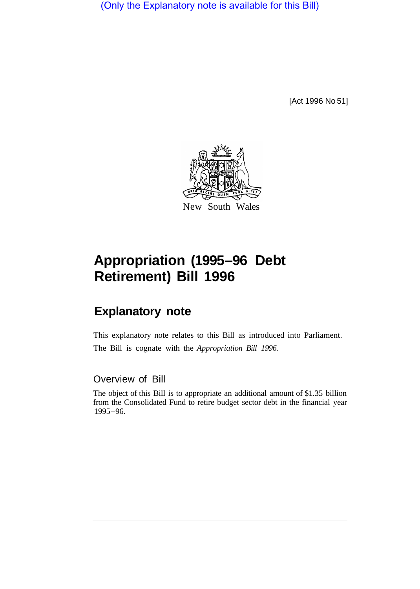(Only the Explanatory note is available for this Bill)

[Act 1996 No 51]



## **Appropriation (1995-96 Debt Retirement) Bill 1996**

## **Explanatory note**

This explanatory note relates to this Bill as introduced into Parliament. The Bill is cognate with the *Appropriation Bill 1996.* 

## Overview of Bill

The object of this Bill is to appropriate an additional amount of \$1.35 billion from the Consolidated Fund to retire budget sector debt in the financial year 1995-96.